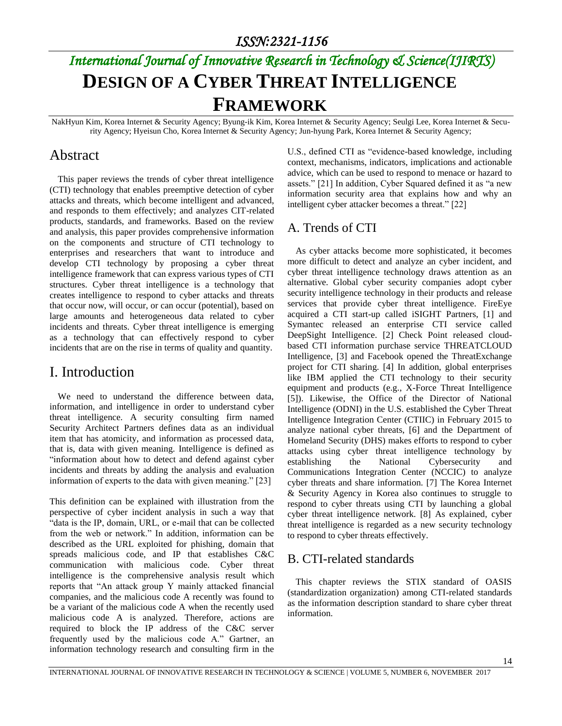# *International Journal of Innovative Research in Technology & Science(IJIRTS)* **DESIGN OF A CYBER THREAT INTELLIGENCE FRAMEWORK**

NakHyun Kim, Korea Internet & Security Agency; Byung-ik Kim, Korea Internet & Security Agency; Seulgi Lee, Korea Internet & Security Agency; Hyeisun Cho, Korea Internet & Security Agency; Jun-hyung Park, Korea Internet & Security Agency;

#### Abstract

This paper reviews the trends of cyber threat intelligence (CTI) technology that enables preemptive detection of cyber attacks and threats, which become intelligent and advanced, and responds to them effectively; and analyzes CIT-related products, standards, and frameworks. Based on the review and analysis, this paper provides comprehensive information on the components and structure of CTI technology to enterprises and researchers that want to introduce and develop CTI technology by proposing a cyber threat intelligence framework that can express various types of CTI structures. Cyber threat intelligence is a technology that creates intelligence to respond to cyber attacks and threats that occur now, will occur, or can occur (potential), based on large amounts and heterogeneous data related to cyber incidents and threats. Cyber threat intelligence is emerging as a technology that can effectively respond to cyber incidents that are on the rise in terms of quality and quantity.

### I. Introduction

We need to understand the difference between data, information, and intelligence in order to understand cyber threat intelligence. A security consulting firm named Security Architect Partners defines data as an individual item that has atomicity, and information as processed data, that is, data with given meaning. Intelligence is defined as "information about how to detect and defend against cyber incidents and threats by adding the analysis and evaluation information of experts to the data with given meaning." [23]

This definition can be explained with illustration from the perspective of cyber incident analysis in such a way that "data is the IP, domain, URL, or e-mail that can be collected from the web or network." In addition, information can be described as the URL exploited for phishing, domain that spreads malicious code, and IP that establishes C&C communication with malicious code. Cyber threat intelligence is the comprehensive analysis result which reports that "An attack group Y mainly attacked financial companies, and the malicious code A recently was found to be a variant of the malicious code A when the recently used malicious code A is analyzed. Therefore, actions are required to block the IP address of the C&C server frequently used by the malicious code A." Gartner, an information technology research and consulting firm in the U.S., defined CTI as "evidence-based knowledge, including context, mechanisms, indicators, implications and actionable advice, which can be used to respond to menace or hazard to assets." [21] In addition, Cyber Squared defined it as "a new information security area that explains how and why an intelligent cyber attacker becomes a threat." [22]

### A. Trends of CTI

As cyber attacks become more sophisticated, it becomes more difficult to detect and analyze an cyber incident, and cyber threat intelligence technology draws attention as an alternative. Global cyber security companies adopt cyber security intelligence technology in their products and release services that provide cyber threat intelligence. FireEye acquired a CTI start-up called iSIGHT Partners, [1] and Symantec released an enterprise CTI service called DeepSight Intelligence. [2] Check Point released cloudbased CTI information purchase service THREATCLOUD Intelligence, [3] and Facebook opened the ThreatExchange project for CTI sharing. [4] In addition, global enterprises like IBM applied the CTI technology to their security equipment and products (e.g., X-Force Threat Intelligence [5]). Likewise, the Office of the Director of National Intelligence (ODNI) in the U.S. established the Cyber Threat Intelligence Integration Center (CTIIC) in February 2015 to analyze national cyber threats, [6] and the Department of Homeland Security (DHS) makes efforts to respond to cyber attacks using cyber threat intelligence technology by establishing the National Cybersecurity and Communications Integration Center (NCCIC) to analyze cyber threats and share information. [7] The Korea Internet & Security Agency in Korea also continues to struggle to respond to cyber threats using CTI by launching a global cyber threat intelligence network. [8] As explained, cyber threat intelligence is regarded as a new security technology to respond to cyber threats effectively.

#### B. CTI-related standards

This chapter reviews the STIX standard of OASIS (standardization organization) among CTI-related standards as the information description standard to share cyber threat information.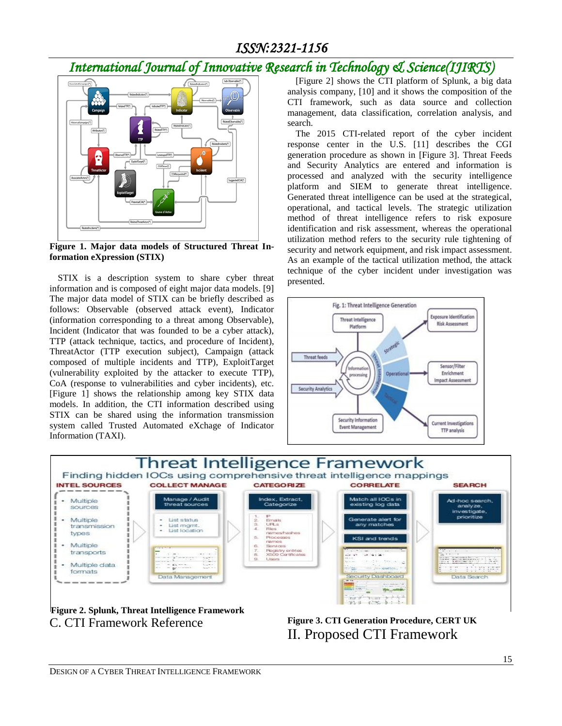## *International Journal of Innovative Research in Technology & Science(IJIRTS)*



**Figure 1. Major data models of Structured Threat Information eXpression (STIX)**

STIX is a description system to share cyber threat information and is composed of eight major data models. [9] The major data model of STIX can be briefly described as follows: Observable (observed attack event), Indicator (information corresponding to a threat among Observable), Incident (Indicator that was founded to be a cyber attack), TTP (attack technique, tactics, and procedure of Incident), ThreatActor (TTP execution subject), Campaign (attack composed of multiple incidents and TTP), ExploitTarget (vulnerability exploited by the attacker to execute TTP), CoA (response to vulnerabilities and cyber incidents), etc. [Figure 1] shows the relationship among key STIX data models. In addition, the CTI information described using STIX can be shared using the information transmission system called Trusted Automated eXchage of Indicator Information (TAXI).

[Figure 2] shows the CTI platform of Splunk, a big data analysis company, [10] and it shows the composition of the CTI framework, such as data source and collection management, data classification, correlation analysis, and search.

The 2015 CTI-related report of the cyber incident response center in the U.S. [11] describes the CGI generation procedure as shown in [Figure 3]. Threat Feeds and Security Analytics are entered and information is processed and analyzed with the security intelligence platform and SIEM to generate threat intelligence. Generated threat intelligence can be used at the strategical, operational, and tactical levels. The strategic utilization method of threat intelligence refers to risk exposure identification and risk assessment, whereas the operational utilization method refers to the security rule tightening of security and network equipment, and risk impact assessment. As an example of the tactical utilization method, the attack technique of the cyber incident under investigation was presented.





C. CTI Framework Reference

**Figure 3. CTI Generation Procedure, CERT UK** II. Proposed CTI Framework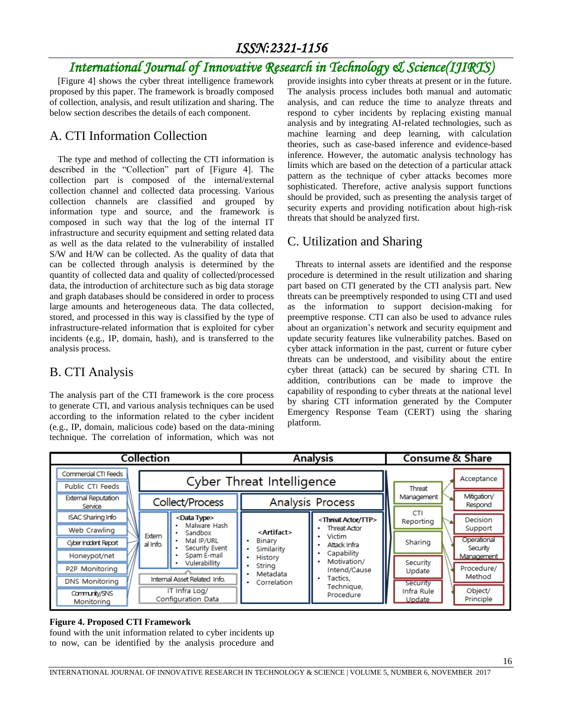## *International Journal of Innovative Research in Technology & Science(IJIRTS)*

[Figure 4] shows the cyber threat intelligence framework proposed by this paper. The framework is broadly composed of collection, analysis, and result utilization and sharing. The below section describes the details of each component.

## A. CTI Information Collection

The type and method of collecting the CTI information is described in the "Collection" part of [Figure 4]. The collection part is composed of the internal/external collection channel and collected data processing. Various collection channels are classified and grouped by information type and source, and the framework is composed in such way that the log of the internal IT infrastructure and security equipment and setting related data as well as the data related to the vulnerability of installed S/W and H/W can be collected. As the quality of data that can be collected through analysis is determined by the quantity of collected data and quality of collected/processed data, the introduction of architecture such as big data storage and graph databases should be considered in order to process large amounts and heterogeneous data. The data collected, stored, and processed in this way is classified by the type of infrastructure-related information that is exploited for cyber incidents (e.g., IP, domain, hash), and is transferred to the analysis process.

## B. CTI Analysis

The analysis part of the CTI framework is the core process to generate CTI, and various analysis techniques can be used according to the information related to the cyber incident (e.g., IP, domain, malicious code) based on the data-mining technique. The correlation of information, which was not

provide insights into cyber threats at present or in the future. The analysis process includes both manual and automatic analysis, and can reduce the time to analyze threats and respond to cyber incidents by replacing existing manual analysis and by integrating AI-related technologies, such as machine learning and deep learning, with calculation theories, such as case-based inference and evidence-based inference. However, the automatic analysis technology has limits which are based on the detection of a particular attack pattern as the technique of cyber attacks becomes more sophisticated. Therefore, active analysis support functions should be provided, such as presenting the analysis target of security experts and providing notification about high-risk threats that should be analyzed first.

### C. Utilization and Sharing

Threats to internal assets are identified and the response procedure is determined in the result utilization and sharing part based on CTI generated by the CTI analysis part. New threats can be preemptively responded to using CTI and used as the information to support decision-making for preemptive response. CTI can also be used to advance rules about an organization's network and security equipment and update security features like vulnerability patches. Based on cyber attack information in the past, current or future cyber threats can be understood, and visibility about the entire cyber threat (attack) can be secured by sharing CTI. In addition, contributions can be made to improve the capability of responding to cyber threats at the national level by sharing CTI information generated by the Computer Emergency Response Team (CERT) using the sharing platform.



#### **Figure 4. Proposed CTI Framework**

found with the unit information related to cyber incidents up to now, can be identified by the analysis procedure and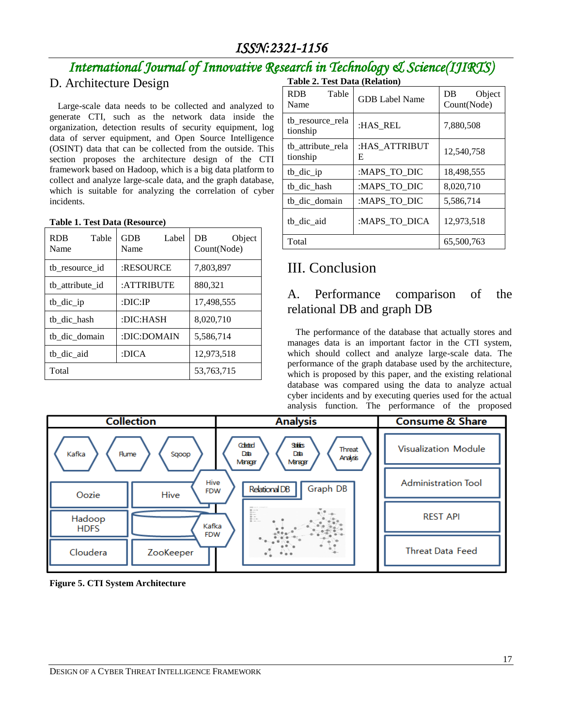## *International Journal of Innovative Research in Technology & Science(IJIRTS)*

## D. Architecture Design

Large-scale data needs to be collected and analyzed to generate CTI, such as the network data inside the organization, detection results of security equipment, log data of server equipment, and Open Source Intelligence (OSINT) data that can be collected from the outside. This section proposes the architecture design of the CTI framework based on Hadoop, which is a big data platform to collect and analyze large-scale data, and the graph database, which is suitable for analyzing the correlation of cyber incidents.

#### **Table 1. Test Data (Resource)**

| <b>RDB</b><br>Table<br>Name | <b>GDB</b><br>Label<br>Name | DB<br>Object<br>Count(Node) |
|-----------------------------|-----------------------------|-----------------------------|
| tb resource id              | :RESOURCE                   | 7,803,897                   |
| tb attribute id             | :ATTRIBUTE                  | 880,321                     |
| tb dic ip                   | $:$ DIC $:$ IP              | 17,498,555                  |
| tb dic hash                 | :DIC:HASH                   | 8,020,710                   |
| tb dic domain               | :DIC:DOMAIN                 | 5,586,714                   |
| tb_dic_aid                  | 12,973,518<br>:DICA         |                             |
| Total                       |                             | 53,763,715                  |

|  | Table 2. Test Data (Relation) |
|--|-------------------------------|
|  |                               |

| Table<br><b>RDB</b><br>Name   | <b>GDB Label Name</b> | Object<br>DB<br>Count(Node) |  |
|-------------------------------|-----------------------|-----------------------------|--|
| tb_resource_rela<br>tionship  | :HAS REL              | 7,880,508                   |  |
| tb attribute rela<br>tionship | :HAS ATTRIBUT<br>E    | 12,540,758                  |  |
| $tb\_dic\_ip$                 | :MAPS_TO_DIC          | 18,498,555                  |  |
| tb dic hash                   | :MAPS_TO_DIC          | 8,020,710                   |  |
| tb_dic_domain                 | :MAPS_TO_DIC          | 5,586,714                   |  |
| tb dic aid                    | :MAPS TO DICA         | 12,973,518                  |  |
| Total                         |                       | 65,500,763                  |  |

## III. Conclusion

## A. Performance comparison of the relational DB and graph DB

The performance of the database that actually stores and manages data is an important factor in the CTI system, which should collect and analyze large-scale data. The performance of the graph database used by the architecture, which is proposed by this paper, and the existing relational database was compared using the data to analyze actual cyber incidents and by executing queries used for the actual analysis function. The performance of the proposed

|                       | <b>Collection</b>          | <b>Analysis</b>                                                           | <b>Consume &amp; Share</b> |
|-----------------------|----------------------------|---------------------------------------------------------------------------|----------------------------|
| Kafka<br><b>Flume</b> | Sqoop                      | Cobded<br>SHEES<br>Threat<br>Dab<br>Dab<br>Analysis<br>Manager<br>Manager | Visualization Module       |
| Oozie                 | Hive<br><b>FDW</b><br>Hive | Graph DB<br>Relational DB                                                 | <b>Administration Tool</b> |
| Hadoop<br><b>HDFS</b> | Kafka                      | 81.40<br><b>B</b> a.<br>Go contracto                                      | <b>REST API</b>            |
| Cloudera              | <b>FDW</b><br>ZooKeeper    |                                                                           | <b>Threat Data Feed</b>    |

**Figure 5. CTI System Architecture**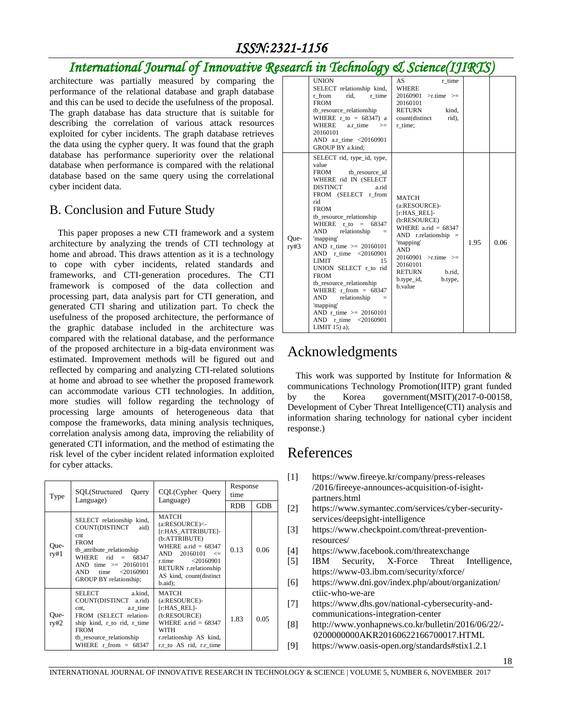## *International Journal of Innovative Research in Technology & Science(IJIRTS)*

architecture was partially measured by comparing the performance of the relational database and graph database and this can be used to decide the usefulness of the proposal. The graph database has data structure that is suitable for describing the correlation of various attack resources exploited for cyber incidents. The graph database retrieves the data using the cypher query. It was found that the graph database has performance superiority over the relational database when performance is compared with the relational database based on the same query using the correlational cyber incident data.

#### B. Conclusion and Future Study

This paper proposes a new CTI framework and a system architecture by analyzing the trends of CTI technology at home and abroad. This draws attention as it is a technology to cope with cyber incidents, related standards and frameworks, and CTI-generation procedures. The CTI framework is composed of the data collection and processing part, data analysis part for CTI generation, and generated CTI sharing and utilization part. To check the usefulness of the proposed architecture, the performance of the graphic database included in the architecture was compared with the relational database, and the performance of the proposed architecture in a big-data environment was estimated. Improvement methods will be figured out and reflected by comparing and analyzing CTI-related solutions at home and abroad to see whether the proposed framework can accommodate various CTI technologies. In addition, more studies will follow regarding the technology of processing large amounts of heterogeneous data that compose the frameworks, data mining analysis techniques, correlation analysis among data, improving the reliability of generated CTI information, and the method of estimating the risk level of the cyber incident related information exploited for cyber attacks.

| Type         | SOL(Structured<br>Ouery<br>Language)                                                                                                                                                                              | CQL(Cypher Query<br>Language)                                                                                                                                                                                       | Response<br>time |            |
|--------------|-------------------------------------------------------------------------------------------------------------------------------------------------------------------------------------------------------------------|---------------------------------------------------------------------------------------------------------------------------------------------------------------------------------------------------------------------|------------------|------------|
|              |                                                                                                                                                                                                                   |                                                                                                                                                                                                                     | <b>RDB</b>       | <b>GDB</b> |
| Que-<br>ry#1 | SELECT relationship kind,<br>COUNT(DISTINCT<br>aid)<br>cnt<br><b>FROM</b><br>tb attribute relationship<br>WHERE $rid = 68347$<br>AND time $>= 20160101$<br>time $\leq 20160901$<br>AND.<br>GROUP BY relationship; | MATCH<br>$(a:RESOURCE)$ <-<br>[r:HAS ATTRIBUTE]-<br>(b:ATTRIBUTE)<br>WHERE $a$ rid = 68347<br>$20160101 \leq$<br>AND<br>< 20160901<br>r time.<br>RETURN r.relationship<br>AS kind, count(distinct<br>$b$ .aid $)$ ; | 0.13             | 0.06       |
| Que-<br>ry#2 | SELECT<br>a.kind.<br>COUNT(DISTINCT a.rid)<br>a.r time<br>$\mathbf{c}$ nt.<br>FROM (SELECT relation-<br>ship kind, r to rid, r time<br><b>FROM</b><br>tb resource relationship<br>WHERE $r$ from $= 68347$        | <b>MATCH</b><br>(a:RESOURCE)-<br>[r:HAS REL]-<br>(b:RESOURCE)<br>WHERE $a.rid = 68347$<br>WITH<br>r.relationship AS kind,<br>r.r to AS rid, r.r time                                                                | 1.83             | 0.05       |

|              | ט                                                                                                                                                                                                                                                                                                                                                                                                                                                                                                                                                                               |                                                                                                                                                                                                                                                 |              |
|--------------|---------------------------------------------------------------------------------------------------------------------------------------------------------------------------------------------------------------------------------------------------------------------------------------------------------------------------------------------------------------------------------------------------------------------------------------------------------------------------------------------------------------------------------------------------------------------------------|-------------------------------------------------------------------------------------------------------------------------------------------------------------------------------------------------------------------------------------------------|--------------|
|              | <b>UNION</b><br>SELECT relationship kind,<br>r from<br>rid,<br>r time<br><b>FROM</b><br>tb_resource_relationship<br>WHERE $r$ to = 68347) a<br>WHERE<br>a.r_time<br>$>=$<br>20160101<br>AND a.r time <20160901<br>GROUP BY a.kind:                                                                                                                                                                                                                                                                                                                                              | AS<br>r time<br><b>WHERE</b><br>20160901<br>$>$ r.time $>=$<br>20160101<br><b>RETURN</b><br>kind.<br>count(distinct<br>rid),<br>r time;                                                                                                         |              |
| Oue-<br>ry#3 | SELECT rid, type_id, type,<br>value<br><b>FROM</b><br>tb_resource_id<br>WHERE rid IN (SELECT<br><b>DISTINCT</b><br>a.rid<br>FROM (SELECT r from<br>rid<br><b>FROM</b><br>tb resource relationship<br>WHERE $r$ to = 68347<br><b>AND</b><br>relationship<br>$=$<br>'mapping'<br>AND r time $>= 20160101$<br>AND r time <20160901<br><b>LIMIT</b><br>15<br>UNION SELECT r_to rid<br><b>FROM</b><br>tb_resource_relationship<br>WHERE $r$ from $= 68347$<br><b>AND</b><br>relationship<br>$=$<br>'mapping'<br>AND r time $>= 20160101$<br>AND r time <20160901<br>LIMIT $15$ ) a); | <b>MATCH</b><br>(a:RESOURCE)-<br>[r:HAS REL]-<br>(b:RESOURCE)<br>WHERE $a$ .rid = 68347<br>AND $r$ . relationship $=$<br>'mapping'<br><b>AND</b><br>$20160901$ >r.time >=<br>20160101<br>RETURN<br>b.rid.<br>$b.type_id,$<br>b.type,<br>b.value | 1.95<br>0.06 |

## Acknowledgments

This work was supported by Institute for Information  $\&$ communications Technology Promotion(IITP) grant funded by the Korea government(MSIT)(2017-0-00158, Development of Cyber Threat Intelligence(CTI) analysis and information sharing technology for national cyber incident response.)

## References

- [1] https://www.fireeye.kr/company/press-releases /2016/fireeye-announces-acquisition-of-isightpartners.html
- [2] https://www.symantec.com/services/cyber-securityservices/deepsight-intelligence
- [3] https://www.checkpoint.com/threat-preventionresources/
- [4] https://www.facebook.com/threatexchange
- [5] IBM Security, X-Force Threat Intelligence, https://www-03.ibm.com/security/xforce/
- [6] https://www.dni.gov/index.php/about/organization/ ctiic-who-we-are
- [7] https://www.dhs.gov/national-cybersecurity-andcommunications-integration-center
- [8] http://www.yonhapnews.co.kr/bulletin/2016/06/22/- 0200000000AKR20160622166700017.HTML
- [9] https://www.oasis-open.org/standards#stix1.2.1